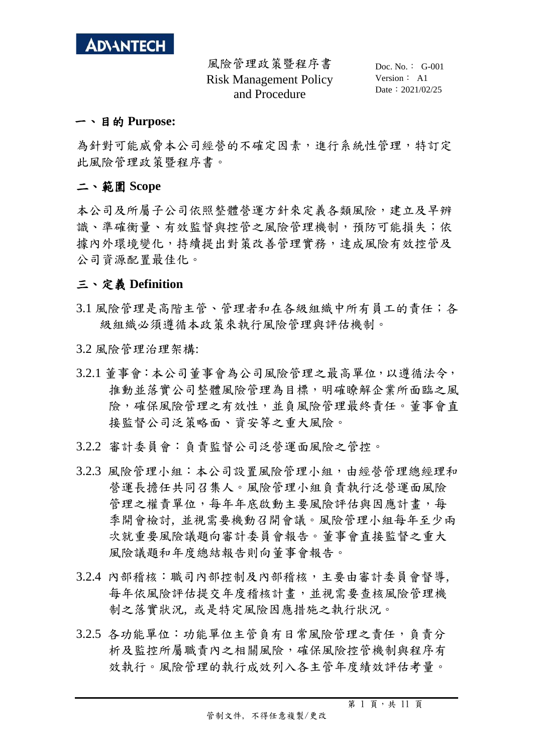

 Doc. No.: G-001 Version: A1 Date: 2021/02/25

#### 一、目的 **Purpose:**

為針對可能威脅本公司經營的不確定因素,進行系統性管理,特訂定 此風險管理政策暨程序書。

#### 二、範圍 **Scope**

本公司及所屬子公司依照整體營運方針來定義各類風險,建立及早辨 識、準確衡量、有效監督與控管之風險管理機制,預防可能損失;依 據內外環境變化,持續提出對策改善管理實務,達成風險有效控管及 公司資源配置最佳化。

#### 三、定義 **Definition**

- 3.1 風險管理是高階主管、管理者和在各級組織中所有員工的責任;各 級組織必須遵循本政策來執行風險管理與評估機制。
- 3.2 風險管理治理架構:
- 3.2.1 董事會:本公司董事會為公司風險管理之最高單位,以遵循法令, 推動並落實公司整體風險管理為目標,明確瞭解企業所面臨之風 險,確保風險管理之有效性,並負風險管理最終責任。董事會直 接監督公司泛策略面、資安等之重大風險。
- 3.2.2 審計委員會:負責監督公司泛營運面風險之管控。
- 3.2.3 風險管理小組:本公司設置風險管理小組,由經營管理總經理和 營運長擔任共同召集人。風險管理小組負責執行泛營運面風險 管理之權責單位,每年年底啟動主要風險評估與因應計畫,每 季開會檢討, 並視需要機動召開會議。風險管理小組每年至少兩 次就重要風險議題向審計委員會報告。董事會直接監督之重大 風險議題和年度總結報告則向董事會報告。
- 3.2.4 內部稽核:職司內部控制及內部稽核,主要由審計委員會督導, 每年依風險評估提交年度稽核計畫,並視需要查核風險管理機 制之落實狀況, 或是特定風險因應措施之執行狀況。
- 3.2.5 各功能單位:功能單位主管負有日常風險管理之責任,負責分 析及監控所屬職責內之相關風險,確保風險控管機制與程序有 效執行。風險管理的執行成效列入各主管年度績效評估考量。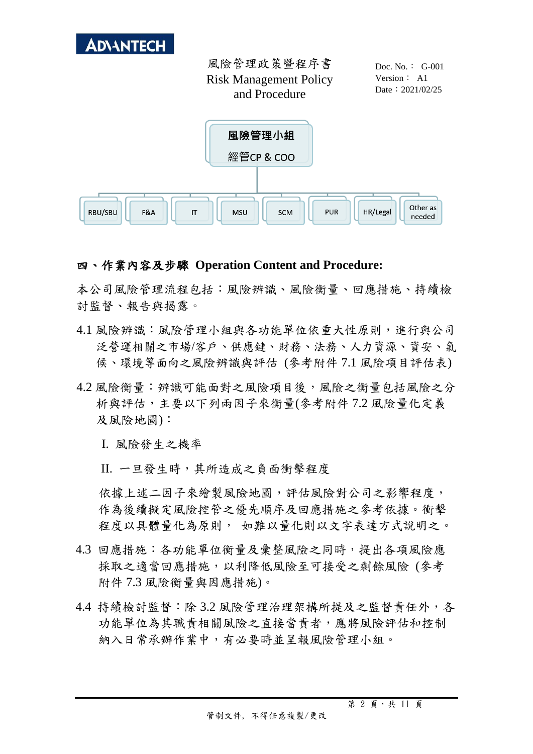

 Doc. No.: G-001 Version: A1 Date: 2021/02/25



### 四、作業內容及步驟 **Operation Content and Procedure:**

本公司風險管理流程包括:風險辨識、風險衡量、回應措施、持續檢 討監督、報告與揭露。

- 4.1 風險辨識:風險管理小組與各功能單位依重大性原則,進行與公司 泛營運相關之市場/客戶、供應鏈、財務、法務、人力資源、資安、氣 候、環境等面向之風險辨識與評估 (參考附件 7.1 風險項目評估表)
- 4.2 風險衡量: 辨識可能面對之風險項目後,風險之衡量包括風險之分 析與評估,主要以下列兩因子來衡量(參考附件 7.2 風險量化定義 及風險地圖):

I. 風險發生之機率

II. 一旦發生時,其所造成之負面衝擊程度

依據上述二因子來繪製風險地圖,評估風險對公司之影響程度, 作為後續擬定風險控管之優先順序及回應措施之參考依據。衝擊 程度以具體量化為原則, 如難以量化則以文字表達方式說明之。

- 4.3 回應措施:各功能單位衡量及彙整風險之同時,提出各項風險應 採取之適當回應措施,以利降低風險至可接受之剩餘風險 (參考 附件 7.3 風險衡量與因應措施)。
- 4.4 持續檢討監督:除 3.2 風險管理治理架構所提及之監督責任外, 各 功能單位為其職責相關風險之直接當責者,應將風險評估和控制 納入日常承辦作業中,有必要時並呈報風險管理小組。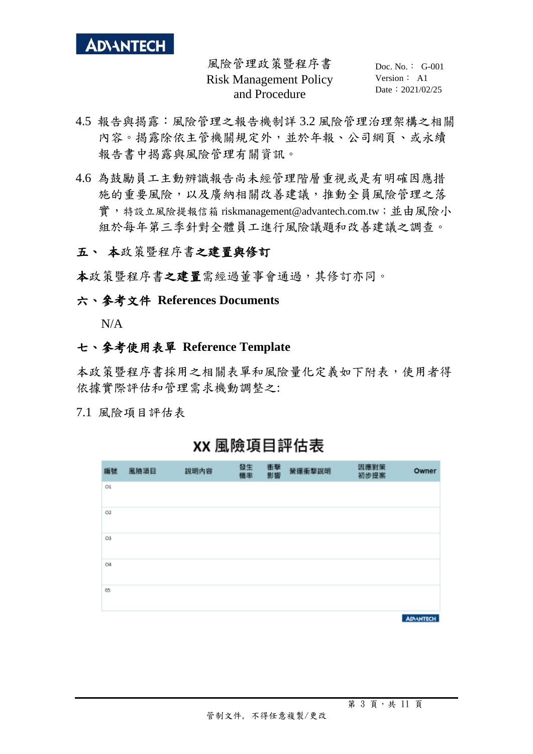

 Doc. No.: G-001 Version: A1 Date: 2021/02/25

- 4.5 報告與揭露:風險管理之報告機制詳 3.2 風險管理治理架構之相關 內容。揭露除依主管機關規定外,並於年報、公司網頁、或永續 報告書中揭露與風險管理有關資訊。
- 4.6 為鼓勵員工主動辨識報告尚未經管理階層重視或是有明確因應措 施的重要風險,以及廣納相關改善建議,推動全員風險管理之落 實,特設立風險提報信箱 [riskmanagement@advantech.com.tw](mailto:%E7%89%B9%E8%A8%AD%E7%AB%8B%E9%A2%A8%E9%9A%AA%E6%8F%90%E5%A0%B1%E4%BF%A1%E7%AE%B1riskmanagement@advantech.com.tw%EF%BC%9B%E5%93%A1%E5%B7%A5%E5%8F%AF%E5%85%B7%E5%90%8D%E6%8F%90%E5%87%BA%E7%9B%B8%E9%97%9C%E5%85%A7%E5%AE%B9%EF%BC%8C%E7%94%B1%E9%A2%A8%E9%9A%AA%E7%AE%A1%E7%90%86%E5%B0%8F%E7%B5%84%E9%80%B2%E8%A1%8C%E6%AA%A2%E8%A6%96%E5%92%8C%E8%A8%8E%E8%AB%96);並由風險小 組於每年第三季針對全體員工進行風險議題和改善建議之調查。

## 五、 本政策暨程序書之建置與修訂

本政策暨程序書之建置需經過董事會通過,其修訂亦同。

#### 六、參考文件 **References Documents**

N/A

#### 七、參考使用表單 **Reference Template**

本政策暨程序書採用之相關表單和風險量化定義如下附表,使用者得 依據實際評估和管理需求機動調整之:

7.1 風險項目評估表

| 編號             | 風險項目 | 說明內容 | 發生<br>機率 | 衝擊<br>影響 | 營運衝撃説明 | 因應對策<br>初步提案 | Owner            |
|----------------|------|------|----------|----------|--------|--------------|------------------|
| $_{\text{C1}}$ |      |      |          |          |        |              |                  |
| O2             |      |      |          |          |        |              |                  |
| O3             |      |      |          |          |        |              |                  |
| O4             |      |      |          |          |        |              |                  |
| 05             |      |      |          |          |        |              |                  |
|                |      |      |          |          |        |              | <b>ADVANTECH</b> |

XX 風險項目評估表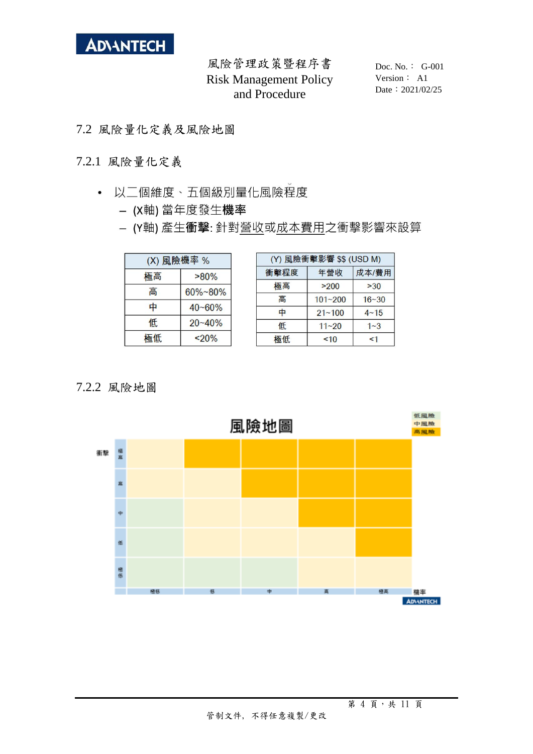

 Doc. No.: G-001 Version: A1 Date: 2021/02/25

- 7.2 風險量化定義及風險地圖
- 7.2.1 風險量化定義
	- 以二個維度、五個級別量化風險程度
		- (X軸) 當年度發生機率
		- (Y軸) 產生衝擊: 針對營收或成本費用之衝擊影響來設算

| (X) 風險機率 % |            |  |  |  |
|------------|------------|--|--|--|
| 極高         | $>80\%$    |  |  |  |
| 高          | 60%~80%    |  |  |  |
| 中          | $40 - 60%$ |  |  |  |
| 低          | $20 - 40%$ |  |  |  |
| 極低         | $20\%$     |  |  |  |

| (Y) 風險衝擊影響 \$\$ (USD M) |             |           |  |  |
|-------------------------|-------------|-----------|--|--|
| 衝擊程度                    | 年營收         | 成本/費用     |  |  |
| 極高                      | >200        | >30       |  |  |
| 高                       | $101 - 200$ | $16 - 30$ |  |  |
| 中                       | $21 - 100$  | $4 - 15$  |  |  |
| 低                       | $11 - 20$   | $1 - 3$   |  |  |
| 極低                      | ~10         | <1        |  |  |

## 7.2.2 風險地圖

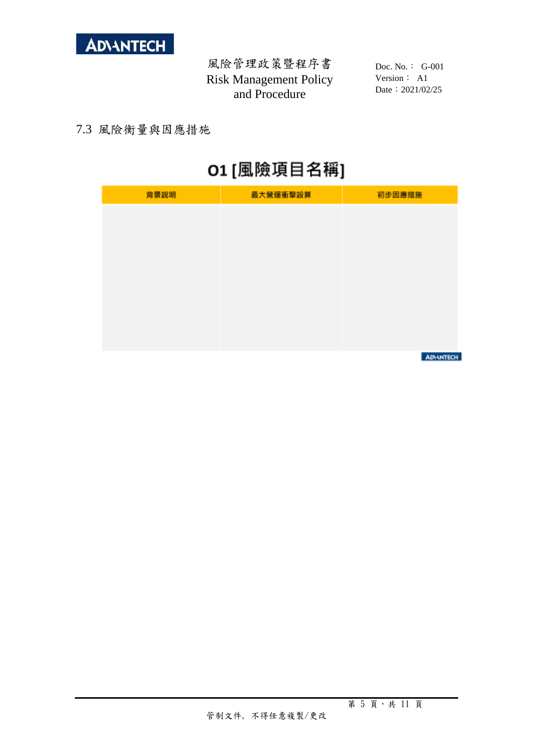

 Doc. No.: G-001 Version: A1 Date: 2021/02/25

## 7.3 風險衡量與因應措施

# O1 [風險項目名稱]

| 最大營運衝擊設算 | 初步因應措施 |
|----------|--------|
|          |        |
|          |        |
|          |        |
|          |        |
|          |        |
|          |        |
|          |        |
|          |        |

**ADVANTECH**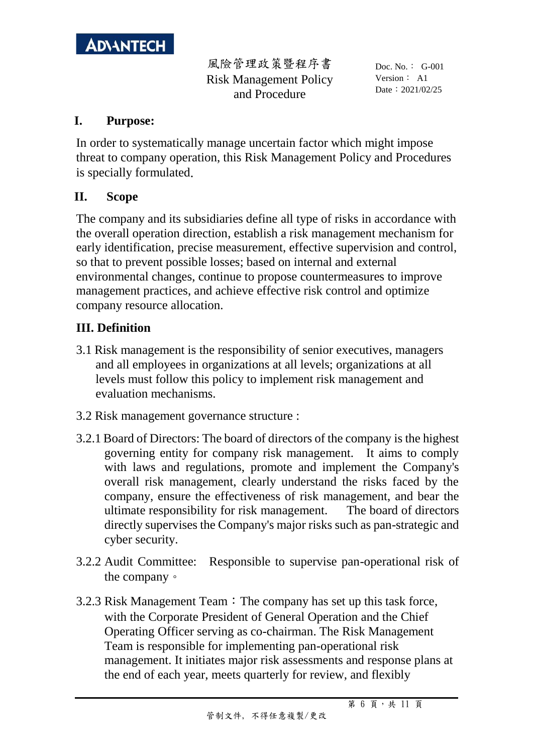

 Doc. No.: G-001 Version: A1 Date: 2021/02/25

## **I. Purpose:**

In order to systematically manage uncertain factor which might impose threat to company operation, this Risk Management Policy and Procedures is specially formulated.

# **II. Scope**

The company and its subsidiaries define all type of risks in accordance with the overall operation direction, establish a risk management mechanism for early identification, precise measurement, effective supervision and control, so that to prevent possible losses; based on internal and external environmental changes, continue to propose countermeasures to improve management practices, and achieve effective risk control and optimize company resource allocation.

# **III. Definition**

- 3.1 Risk management is the responsibility of senior executives, managers and all employees in organizations at all levels; organizations at all levels must follow this policy to implement risk management and evaluation mechanisms.
- 3.2 Risk management governance structure :
- 3.2.1 Board of Directors: The board of directors of the company is the highest governing entity for company risk management. It aims to comply with laws and regulations, promote and implement the Company's overall risk management, clearly understand the risks faced by the company, ensure the effectiveness of risk management, and bear the ultimate responsibility for risk management. The board of directors directly supervises the Company's major risks such as pan-strategic and cyber security.
- 3.2.2 Audit Committee: Responsible to supervise pan-operational risk of the company。
- 3.2.3 Risk Management Team: The company has set up this task force, with the Corporate President of General Operation and the Chief Operating Officer serving as co-chairman. The Risk Management Team is responsible for implementing pan-operational risk management. It initiates major risk assessments and response plans at the end of each year, meets quarterly for review, and flexibly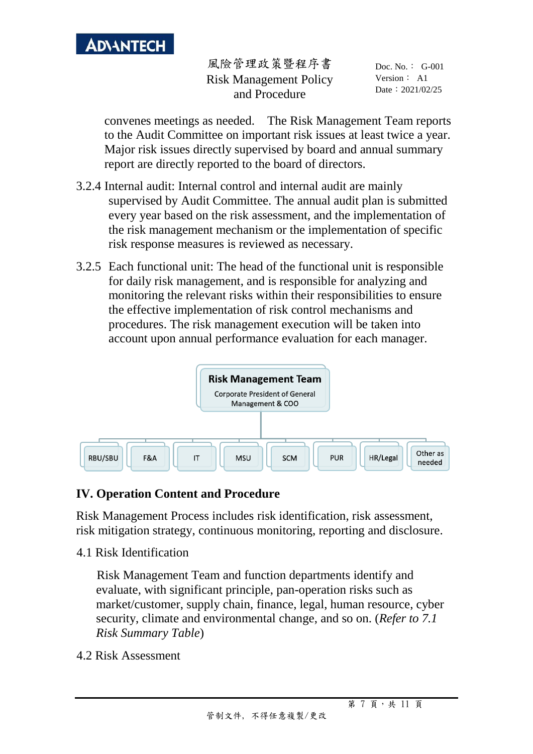

 Doc. No.: G-001 Version: A1 Date: 2021/02/25

convenes meetings as needed. The Risk Management Team reports to the Audit Committee on important risk issues at least twice a year. Major risk issues directly supervised by board and annual summary report are directly reported to the board of directors.

- 3.2.4 Internal audit: Internal control and internal audit are mainly supervised by Audit Committee. The annual audit plan is submitted every year based on the risk assessment, and the implementation of the risk management mechanism or the implementation of specific risk response measures is reviewed as necessary.
- 3.2.5 Each functional unit: The head of the functional unit is responsible for daily risk management, and is responsible for analyzing and monitoring the relevant risks within their responsibilities to ensure the effective implementation of risk control mechanisms and procedures. The risk management execution will be taken into account upon annual performance evaluation for each manager.



# **IV. Operation Content and Procedure**

Risk Management Process includes risk identification, risk assessment, risk mitigation strategy, continuous monitoring, reporting and disclosure.

4.1 Risk Identification

Risk Management Team and function departments identify and evaluate, with significant principle, pan-operation risks such as market/customer, supply chain, finance, legal, human resource, cyber security, climate and environmental change, and so on. (*Refer to 7.1 Risk Summary Table*)

4.2 Risk Assessment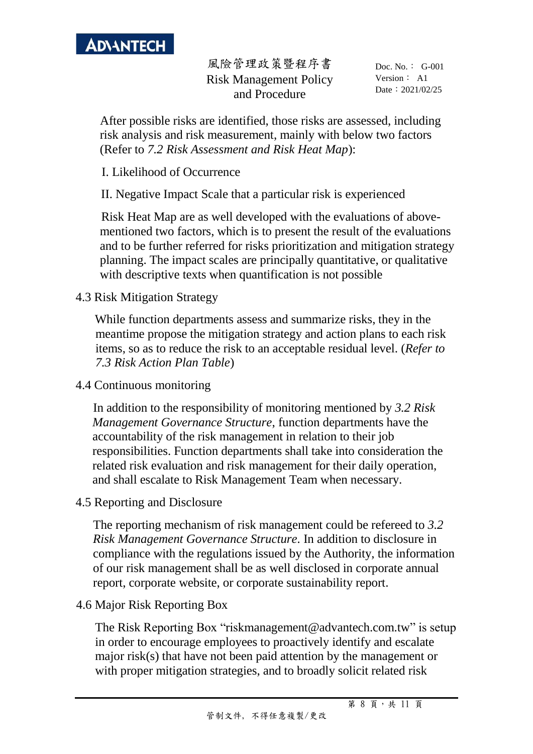

 Doc. No.: G-001 Version: A1 Date: 2021/02/25

After possible risks are identified, those risks are assessed, including risk analysis and risk measurement, mainly with below two factors (Refer to *7.2 Risk Assessment and Risk Heat Map*):

I. Likelihood of Occurrence

II. Negative Impact Scale that a particular risk is experienced

Risk Heat Map are as well developed with the evaluations of abovementioned two factors, which is to present the result of the evaluations and to be further referred for risks prioritization and mitigation strategy planning. The impact scales are principally quantitative, or qualitative with descriptive texts when quantification is not possible

## 4.3 Risk Mitigation Strategy

While function departments assess and summarize risks, they in the meantime propose the mitigation strategy and action plans to each risk items, so as to reduce the risk to an acceptable residual level. (*Refer to 7.3 Risk Action Plan Table*)

## 4.4 Continuous monitoring

In addition to the responsibility of monitoring mentioned by *3.2 Risk Management Governance Structure*, function departments have the accountability of the risk management in relation to their job responsibilities. Function departments shall take into consideration the related risk evaluation and risk management for their daily operation, and shall escalate to Risk Management Team when necessary.

4.5 Reporting and Disclosure

The reporting mechanism of risk management could be refereed to *3.2 Risk Management Governance Structure.* In addition to disclosure in compliance with the regulations issued by the Authority, the information of our risk management shall be as well disclosed in corporate annual report, corporate website, or corporate sustainability report.

4.6 Major Risk Reporting Box

The Risk Reporting Box "riskmanagement@advantech.com.tw" is setup in order to encourage employees to proactively identify and escalate major risk(s) that have not been paid attention by the management or with proper mitigation strategies, and to broadly solicit related risk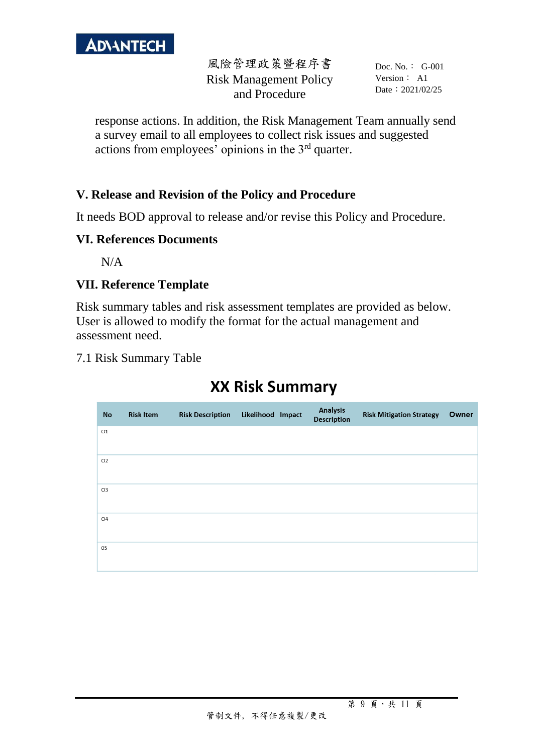

 Doc. No.: G-001 Version: A1 Date: 2021/02/25

response actions. In addition, the Risk Management Team annually send a survey email to all employees to collect risk issues and suggested actions from employees' opinions in the  $3<sup>rd</sup>$  quarter.

# **V. Release and Revision of the Policy and Procedure**

It needs BOD approval to release and/or revise this Policy and Procedure.

## **VI. References Documents**

 $N/A$ 

## **VII. Reference Template**

Risk summary tables and risk assessment templates are provided as below. User is allowed to modify the format for the actual management and assessment need.

7.1 Risk Summary Table

# **XX Risk Summary**

| <b>No</b>      | <b>Risk Item</b> | <b>Risk Description</b> | Likelihood Impact | <b>Analysis</b><br>Description | <b>Risk Mitigation Strategy</b> | Owner |
|----------------|------------------|-------------------------|-------------------|--------------------------------|---------------------------------|-------|
| 01             |                  |                         |                   |                                |                                 |       |
| O <sub>2</sub> |                  |                         |                   |                                |                                 |       |
| O <sub>3</sub> |                  |                         |                   |                                |                                 |       |
| O <sub>4</sub> |                  |                         |                   |                                |                                 |       |
| 05             |                  |                         |                   |                                |                                 |       |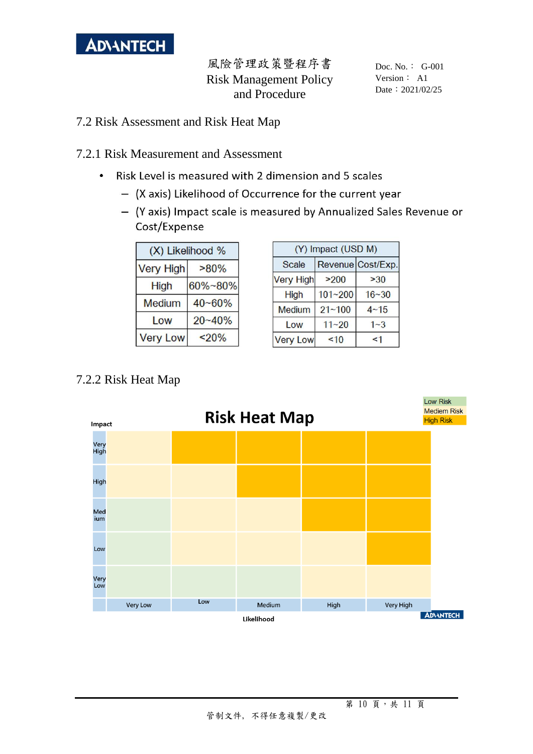

 Doc. No.: G-001 Version: A1 Date: 2021/02/25

- 7.2 Risk Assessment and Risk Heat Map
- 7.2.1 Risk Measurement and Assessment
	- Risk Level is measured with 2 dimension and 5 scales  $\ddot{\phantom{0}}$ 
		- (X axis) Likelihood of Occurrence for the current year
		- (Y axis) Impact scale is measured by Annualized Sales Revenue or Cost/Expense

| (X) Likelihood % |            |  |  |  |
|------------------|------------|--|--|--|
| <b>Very High</b> | $>80\%$    |  |  |  |
| <b>High</b>      | 60%~80%    |  |  |  |
| <b>Medium</b>    | $40 - 60%$ |  |  |  |
| Low              | $20 - 40%$ |  |  |  |
| <b>Very Low</b>  | < 20%      |  |  |  |

| (Y) Impact (USD M) |             |                   |  |  |
|--------------------|-------------|-------------------|--|--|
| Scale              |             | Revenue Cost/Exp. |  |  |
| <b>Very High</b>   | >200        | >30               |  |  |
| High               | $101 - 200$ | $16 - 30$         |  |  |
| Medium             | $21 - 100$  | $4 - 15$          |  |  |
| Low                | $11 - 20$   | $1 - 3$           |  |  |
| <b>Very Low</b>    | ~10         | $\leq$ 1          |  |  |



# 7.2.2 Risk Heat Map